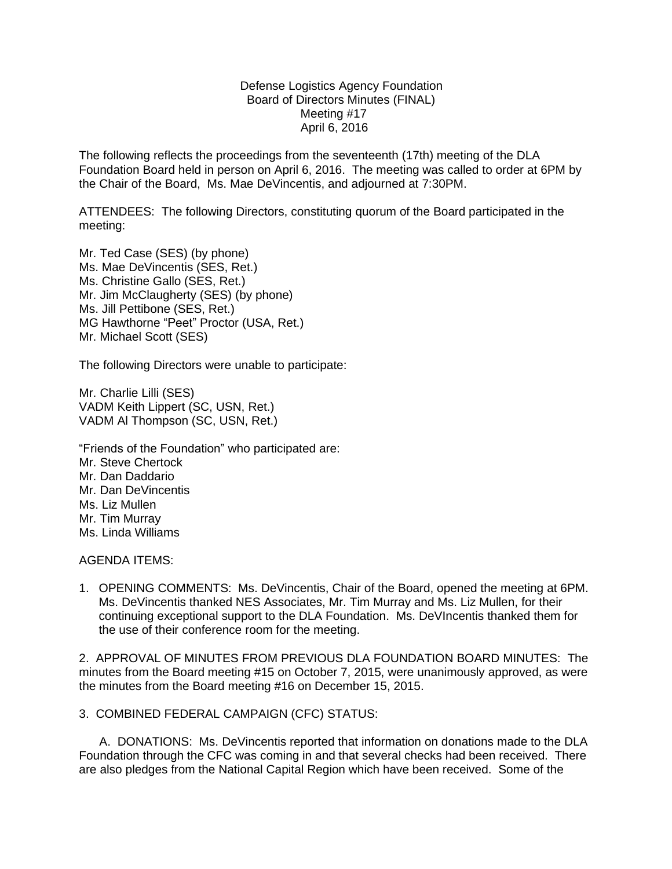## Defense Logistics Agency Foundation Board of Directors Minutes (FINAL) Meeting #17 April 6, 2016

The following reflects the proceedings from the seventeenth (17th) meeting of the DLA Foundation Board held in person on April 6, 2016. The meeting was called to order at 6PM by the Chair of the Board, Ms. Mae DeVincentis, and adjourned at 7:30PM.

ATTENDEES: The following Directors, constituting quorum of the Board participated in the meeting:

Mr. Ted Case (SES) (by phone) Ms. Mae DeVincentis (SES, Ret.) Ms. Christine Gallo (SES, Ret.) Mr. Jim McClaugherty (SES) (by phone) Ms. Jill Pettibone (SES, Ret.) MG Hawthorne "Peet" Proctor (USA, Ret.) Mr. Michael Scott (SES)

The following Directors were unable to participate:

Mr. Charlie Lilli (SES) VADM Keith Lippert (SC, USN, Ret.) VADM Al Thompson (SC, USN, Ret.)

"Friends of the Foundation" who participated are: Mr. Steve Chertock Mr. Dan Daddario Mr. Dan DeVincentis Ms. Liz Mullen Mr. Tim Murray Ms. Linda Williams

AGENDA ITEMS:

1. OPENING COMMENTS: Ms. DeVincentis, Chair of the Board, opened the meeting at 6PM. Ms. DeVincentis thanked NES Associates, Mr. Tim Murray and Ms. Liz Mullen, for their continuing exceptional support to the DLA Foundation. Ms. DeVIncentis thanked them for the use of their conference room for the meeting.

2. APPROVAL OF MINUTES FROM PREVIOUS DLA FOUNDATION BOARD MINUTES: The minutes from the Board meeting #15 on October 7, 2015, were unanimously approved, as were the minutes from the Board meeting #16 on December 15, 2015.

3. COMBINED FEDERAL CAMPAIGN (CFC) STATUS:

 A. DONATIONS: Ms. DeVincentis reported that information on donations made to the DLA Foundation through the CFC was coming in and that several checks had been received. There are also pledges from the National Capital Region which have been received. Some of the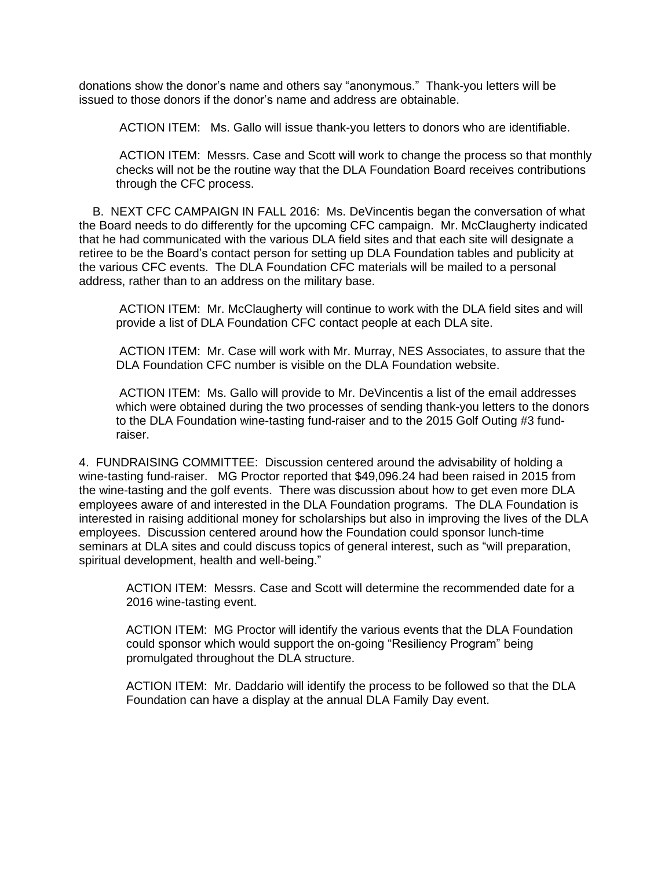donations show the donor's name and others say "anonymous." Thank-you letters will be issued to those donors if the donor's name and address are obtainable.

ACTION ITEM: Ms. Gallo will issue thank-you letters to donors who are identifiable.

 ACTION ITEM: Messrs. Case and Scott will work to change the process so that monthly checks will not be the routine way that the DLA Foundation Board receives contributions through the CFC process.

 B. NEXT CFC CAMPAIGN IN FALL 2016: Ms. DeVincentis began the conversation of what the Board needs to do differently for the upcoming CFC campaign. Mr. McClaugherty indicated that he had communicated with the various DLA field sites and that each site will designate a retiree to be the Board's contact person for setting up DLA Foundation tables and publicity at the various CFC events. The DLA Foundation CFC materials will be mailed to a personal address, rather than to an address on the military base.

 ACTION ITEM: Mr. McClaugherty will continue to work with the DLA field sites and will provide a list of DLA Foundation CFC contact people at each DLA site.

 ACTION ITEM: Mr. Case will work with Mr. Murray, NES Associates, to assure that the DLA Foundation CFC number is visible on the DLA Foundation website.

 ACTION ITEM: Ms. Gallo will provide to Mr. DeVincentis a list of the email addresses which were obtained during the two processes of sending thank-you letters to the donors to the DLA Foundation wine-tasting fund-raiser and to the 2015 Golf Outing #3 fund raiser.

4. FUNDRAISING COMMITTEE: Discussion centered around the advisability of holding a wine-tasting fund-raiser. MG Proctor reported that \$49,096.24 had been raised in 2015 from the wine-tasting and the golf events. There was discussion about how to get even more DLA employees aware of and interested in the DLA Foundation programs. The DLA Foundation is interested in raising additional money for scholarships but also in improving the lives of the DLA employees. Discussion centered around how the Foundation could sponsor lunch-time seminars at DLA sites and could discuss topics of general interest, such as "will preparation, spiritual development, health and well-being."

 ACTION ITEM: Messrs. Case and Scott will determine the recommended date for a 2016 wine-tasting event.

 ACTION ITEM: MG Proctor will identify the various events that the DLA Foundation could sponsor which would support the on-going "Resiliency Program" being promulgated throughout the DLA structure.

 ACTION ITEM: Mr. Daddario will identify the process to be followed so that the DLA Foundation can have a display at the annual DLA Family Day event.